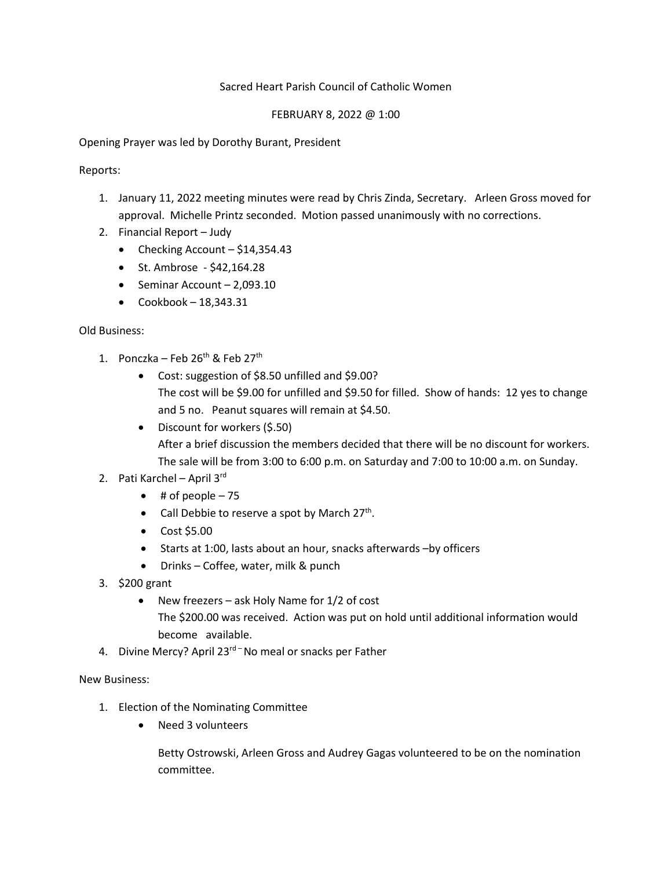## Sacred Heart Parish Council of Catholic Women

#### FEBRUARY 8, 2022 @ 1:00

Opening Prayer was led by Dorothy Burant, President

Reports:

- 1. January 11, 2022 meeting minutes were read by Chris Zinda, Secretary. Arleen Gross moved for approval. Michelle Printz seconded. Motion passed unanimously with no corrections.
- 2. Financial Report Judy
	- Checking Account  $-$  \$14,354.43
	- St. Ambrose \$42,164.28
	- Seminar Account 2,093.10
	- $\bullet$  Cookbook 18,343.31

## Old Business:

- 1. Ponczka Feb  $26<sup>th</sup>$  & Feb  $27<sup>th</sup>$ 
	- Cost: suggestion of \$8.50 unfilled and \$9.00? The cost will be \$9.00 for unfilled and \$9.50 for filled. Show of hands: 12 yes to change and 5 no. Peanut squares will remain at \$4.50.
	- Discount for workers (\$.50) After a brief discussion the members decided that there will be no discount for workers. The sale will be from 3:00 to 6:00 p.m. on Saturday and 7:00 to 10:00 a.m. on Sunday.

# 2. Pati Karchel – April 3rd

- $\bullet$  # of people  $-75$
- Call Debbie to reserve a spot by March 27<sup>th</sup>.
- Cost \$5.00
- Starts at 1:00, lasts about an hour, snacks afterwards –by officers
- Drinks Coffee, water, milk & punch
- 3. \$200 grant
	- New freezers ask Holy Name for 1/2 of cost The \$200.00 was received. Action was put on hold until additional information would become available.
- 4. Divine Mercy? April 23<sup>rd –</sup> No meal or snacks per Father

New Business:

- 1. Election of the Nominating Committee
	- Need 3 volunteers

Betty Ostrowski, Arleen Gross and Audrey Gagas volunteered to be on the nomination committee.